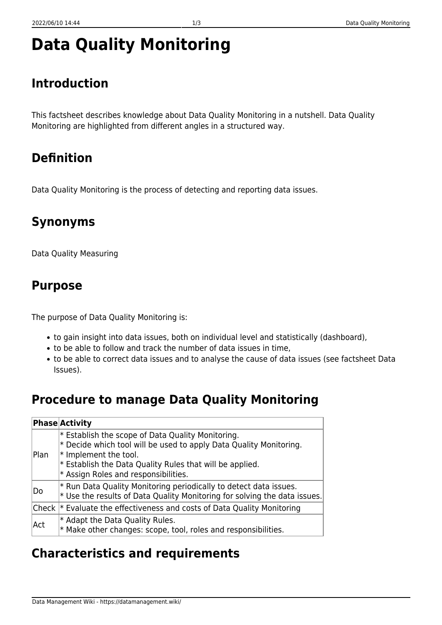# **Data Quality Monitoring**

## **Introduction**

This factsheet describes knowledge about Data Quality Monitoring in a nutshell. Data Quality Monitoring are highlighted from different angles in a structured way.

#### **Definition**

Data Quality Monitoring is the process of detecting and reporting data issues.

## **Synonyms**

Data Quality Measuring

#### **Purpose**

The purpose of Data Quality Monitoring is:

- to gain insight into data issues, both on individual level and statistically (dashboard),
- to be able to follow and track the number of data issues in time,
- to be able to correct data issues and to analyse the cause of data issues (see factsheet Data Issues).

## **Procedure to manage Data Quality Monitoring**

|      | <b>Phase Activity</b>                                                                                                                                                                                                                                          |
|------|----------------------------------------------------------------------------------------------------------------------------------------------------------------------------------------------------------------------------------------------------------------|
| Plan | $*$ Establish the scope of Data Quality Monitoring.<br>$*$ Decide which tool will be used to apply Data Quality Monitoring.<br>$*$ Implement the tool.<br>$*$ Establish the Data Quality Rules that will be applied.<br>$*$ Assign Roles and responsibilities. |
| Do   | $*$ Run Data Quality Monitoring periodically to detect data issues.<br>$*$ Use the results of Data Quality Monitoring for solving the data issues.                                                                                                             |
|      | Check  * Evaluate the effectiveness and costs of Data Quality Monitoring                                                                                                                                                                                       |
| Act  | $*$ Adapt the Data Quality Rules.<br>$*$ Make other changes: scope, tool, roles and responsibilities.                                                                                                                                                          |

#### **Characteristics and requirements**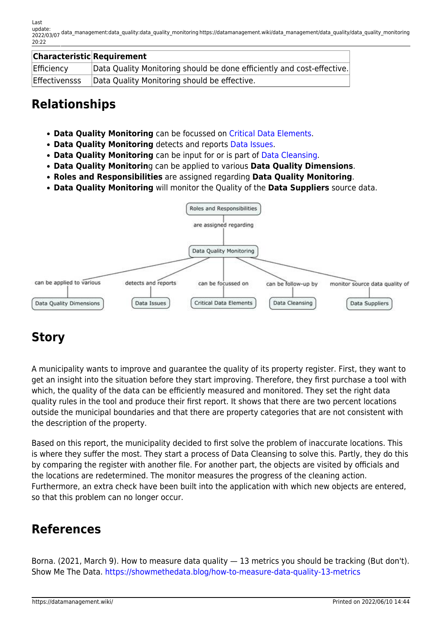| <b>Characteristic Requirement</b> |                                                                        |
|-----------------------------------|------------------------------------------------------------------------|
| Efficiency                        | Data Quality Monitoring should be done efficiently and cost-effective. |
| <b>Effectivensss</b>              | Data Quality Monitoring should be effective.                           |

### **Relationships**

- **Data Quality Monitoring** can be focussed on [Critical Data Elements.](https://datamanagement.wiki/data_management/data_quality/critical_data_elements)
- **Data Quality Monitoring** detects and reports [Data Issues](https://datamanagement.wiki/data_management/data_quality/data_issues).
- **Data Quality Monitoring** can be input for or is part of [Data Cleansing.](https://datamanagement.wiki/data_management/data_quality/data_cleansing)
- **Data Quality Monitorin**g can be applied to various **Data Quality Dimensions**.
- **Roles and Responsibilities** are assigned regarding **Data Quality Monitoring**.
- **Data Quality Monitoring** will monitor the Quality of the **Data Suppliers** source data.



# **Story**

A municipality wants to improve and guarantee the quality of its property register. First, they want to get an insight into the situation before they start improving. Therefore, they first purchase a tool with which, the quality of the data can be efficiently measured and monitored. They set the right data quality rules in the tool and produce their first report. It shows that there are two percent locations outside the municipal boundaries and that there are property categories that are not consistent with the description of the property.

Based on this report, the municipality decided to first solve the problem of inaccurate locations. This is where they suffer the most. They start a process of Data Cleansing to solve this. Partly, they do this by comparing the register with another file. For another part, the objects are visited by officials and the locations are redetermined. The monitor measures the progress of the cleaning action. Furthermore, an extra check have been built into the application with which new objects are entered, so that this problem can no longer occur.

## **References**

Borna. (2021, March 9). How to measure data quality — 13 metrics you should be tracking (But don't). Show Me The Data. <https://showmethedata.blog/how-to-measure-data-quality-13-metrics>